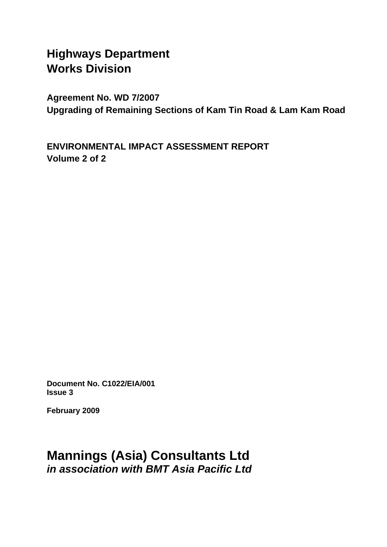# **Highways Department Works Division**

**Agreement No. WD 7/2007 Upgrading of Remaining Sections of Kam Tin Road & Lam Kam Road** 

**ENVIRONMENTAL IMPACT ASSESSMENT REPORT Volume 2 of 2** 

**Document No. C1022/EIA/001 Issue 3** 

**February 2009** 

## **Mannings (Asia) Consultants Ltd**  *in association with BMT Asia Pacific Ltd*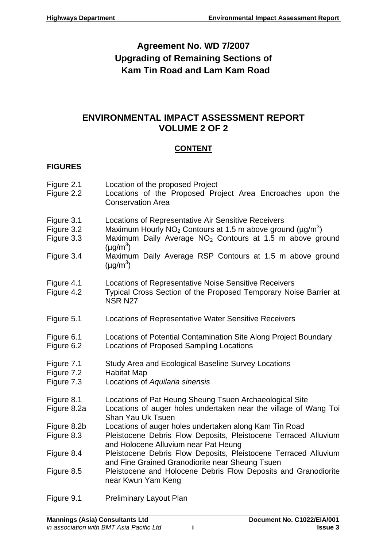## **Agreement No. WD 7/2007 Upgrading of Remaining Sections of Kam Tin Road and Lam Kam Road**

### **ENVIRONMENTAL IMPACT ASSESSMENT REPORT VOLUME 2 OF 2**

### **CONTENT**

### **FIGURES**

- Figure 2.1 Location of the proposed Project
- Figure 2.2 Locations of the Proposed Project Area Encroaches upon the Conservation Area
- Figure 3.1 Locations of Representative Air Sensitive Receivers
- Figure 3.2 Maximum Hourly NO<sub>2</sub> Contours at 1.5 m above ground ( $\mu$ g/m<sup>3</sup>)
- Figure 3.3 Maximum Daily Average  $NO<sub>2</sub>$  Contours at 1.5 m above ground  $(\mu g/m^3)$
- Figure 3.4 Maximum Daily Average RSP Contours at 1.5 m above ground  $(\mu g/m^3)$
- Figure 4.1 Locations of Representative Noise Sensitive Receivers
- Figure 4.2 Typical Cross Section of the Proposed Temporary Noise Barrier at NSR N27
- Figure 5.1 Locations of Representative Water Sensitive Receivers
- Figure 6.1 Locations of Potential Contamination Site Along Project Boundary
- Figure 6.2 Locations of Proposed Sampling Locations
- Figure 7.1 Study Area and Ecological Baseline Survey Locations
- Figure 7.2 Habitat Map
- Figure 7.3 Locations of *Aquilaria sinensis*
- Figure 8.1 Locations of Pat Heung Sheung Tsuen Archaeological Site
- Figure 8.2a Locations of auger holes undertaken near the village of Wang Toi Shan Yau Uk Tsuen
- Figure 8.2b Locations of auger holes undertaken along Kam Tin Road
- Figure 8.3 Pleistocene Debris Flow Deposits, Pleistocene Terraced Alluvium and Holocene Alluvium near Pat Heung
- Figure 8.4 Pleistocene Debris Flow Deposits, Pleistocene Terraced Alluvium and Fine Grained Granodiorite near Sheung Tsuen
- Figure 8.5 Pleistocene and Holocene Debris Flow Deposits and Granodiorite near Kwun Yam Keng
- Figure 9.1 Preliminary Layout Plan